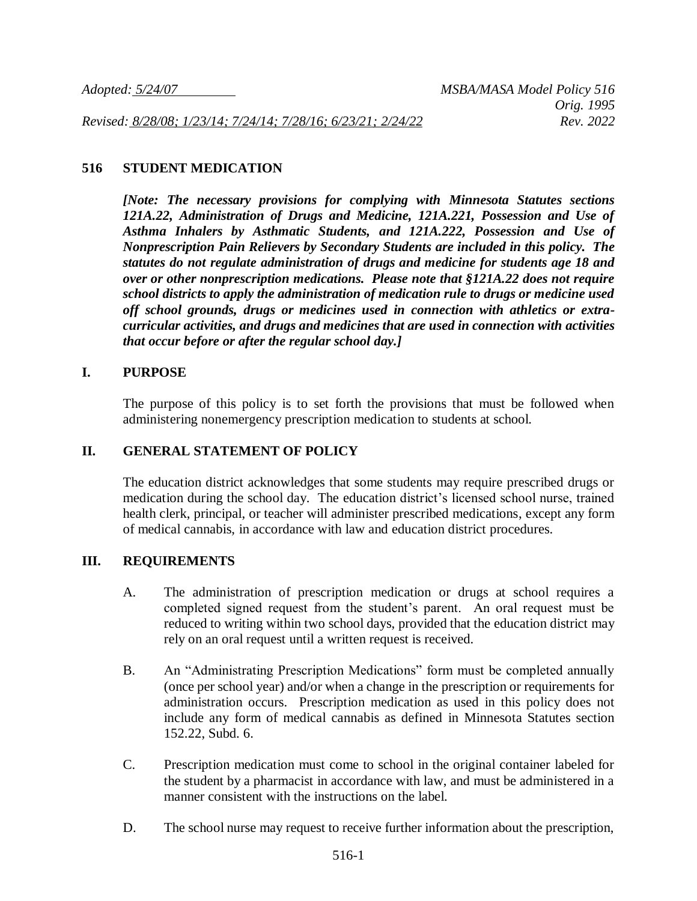*Revised: 8/28/08; 1/23/14; 7/24/14; 7/28/16; 6/23/21; 2/24/22 Rev. 2022*

## **516 STUDENT MEDICATION**

*[Note: The necessary provisions for complying with Minnesota Statutes sections 121A.22, Administration of Drugs and Medicine, 121A.221, Possession and Use of Asthma Inhalers by Asthmatic Students, and 121A.222, Possession and Use of Nonprescription Pain Relievers by Secondary Students are included in this policy. The statutes do not regulate administration of drugs and medicine for students age 18 and over or other nonprescription medications. Please note that §121A.22 does not require school districts to apply the administration of medication rule to drugs or medicine used off school grounds, drugs or medicines used in connection with athletics or extracurricular activities, and drugs and medicines that are used in connection with activities that occur before or after the regular school day.]*

### **I. PURPOSE**

The purpose of this policy is to set forth the provisions that must be followed when administering nonemergency prescription medication to students at school.

### **II. GENERAL STATEMENT OF POLICY**

The education district acknowledges that some students may require prescribed drugs or medication during the school day. The education district's licensed school nurse, trained health clerk, principal, or teacher will administer prescribed medications, except any form of medical cannabis, in accordance with law and education district procedures.

#### **III. REQUIREMENTS**

- A. The administration of prescription medication or drugs at school requires a completed signed request from the student's parent. An oral request must be reduced to writing within two school days, provided that the education district may rely on an oral request until a written request is received.
- B. An "Administrating Prescription Medications" form must be completed annually (once per school year) and/or when a change in the prescription or requirements for administration occurs. Prescription medication as used in this policy does not include any form of medical cannabis as defined in Minnesota Statutes section 152.22, Subd. 6.
- C. Prescription medication must come to school in the original container labeled for the student by a pharmacist in accordance with law, and must be administered in a manner consistent with the instructions on the label.
- D. The school nurse may request to receive further information about the prescription,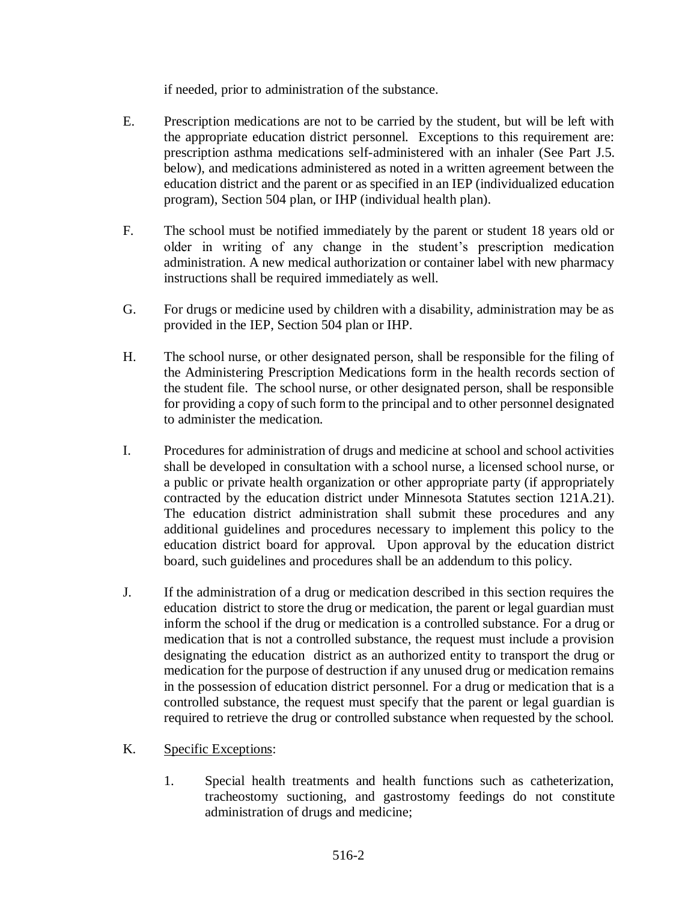if needed, prior to administration of the substance.

- E. Prescription medications are not to be carried by the student, but will be left with the appropriate education district personnel. Exceptions to this requirement are: prescription asthma medications self-administered with an inhaler (See Part J.5. below), and medications administered as noted in a written agreement between the education district and the parent or as specified in an IEP (individualized education program), Section 504 plan, or IHP (individual health plan).
- F. The school must be notified immediately by the parent or student 18 years old or older in writing of any change in the student's prescription medication administration. A new medical authorization or container label with new pharmacy instructions shall be required immediately as well.
- G. For drugs or medicine used by children with a disability, administration may be as provided in the IEP, Section 504 plan or IHP.
- H. The school nurse, or other designated person, shall be responsible for the filing of the Administering Prescription Medications form in the health records section of the student file. The school nurse, or other designated person, shall be responsible for providing a copy of such form to the principal and to other personnel designated to administer the medication.
- I. Procedures for administration of drugs and medicine at school and school activities shall be developed in consultation with a school nurse, a licensed school nurse, or a public or private health organization or other appropriate party (if appropriately contracted by the education district under Minnesota Statutes section 121A.21). The education district administration shall submit these procedures and any additional guidelines and procedures necessary to implement this policy to the education district board for approval. Upon approval by the education district board, such guidelines and procedures shall be an addendum to this policy.
- J. If the administration of a drug or medication described in this section requires the education district to store the drug or medication, the parent or legal guardian must inform the school if the drug or medication is a controlled substance. For a drug or medication that is not a controlled substance, the request must include a provision designating the education district as an authorized entity to transport the drug or medication for the purpose of destruction if any unused drug or medication remains in the possession of education district personnel. For a drug or medication that is a controlled substance, the request must specify that the parent or legal guardian is required to retrieve the drug or controlled substance when requested by the school.

# K. Specific Exceptions:

1. Special health treatments and health functions such as catheterization, tracheostomy suctioning, and gastrostomy feedings do not constitute administration of drugs and medicine;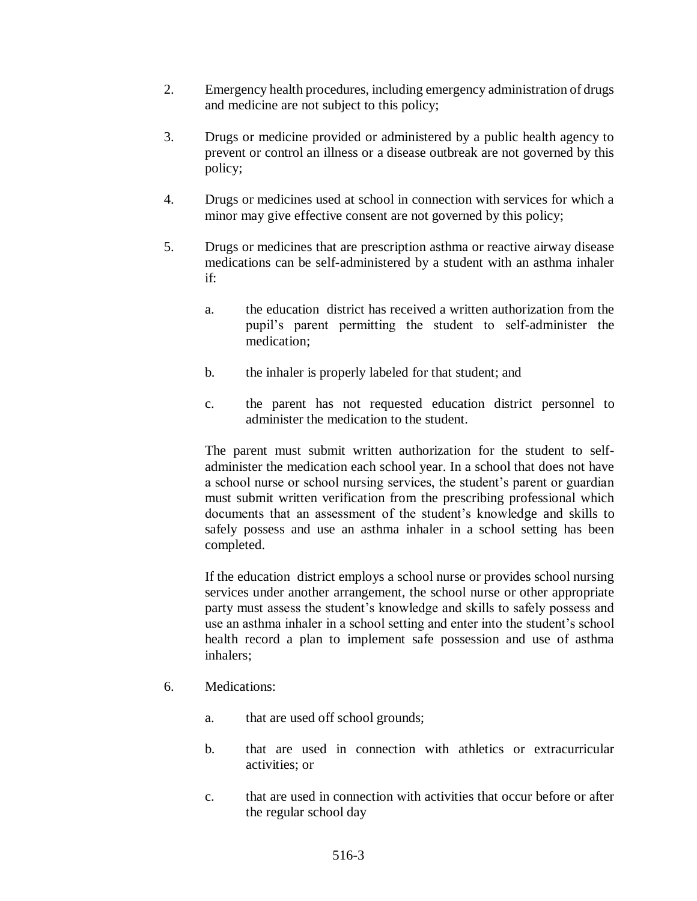- 2. Emergency health procedures, including emergency administration of drugs and medicine are not subject to this policy;
- 3. Drugs or medicine provided or administered by a public health agency to prevent or control an illness or a disease outbreak are not governed by this policy;
- 4. Drugs or medicines used at school in connection with services for which a minor may give effective consent are not governed by this policy;
- 5. Drugs or medicines that are prescription asthma or reactive airway disease medications can be self-administered by a student with an asthma inhaler if:
	- a. the education district has received a written authorization from the pupil's parent permitting the student to self-administer the medication;
	- b. the inhaler is properly labeled for that student; and
	- c. the parent has not requested education district personnel to administer the medication to the student.

The parent must submit written authorization for the student to selfadminister the medication each school year. In a school that does not have a school nurse or school nursing services, the student's parent or guardian must submit written verification from the prescribing professional which documents that an assessment of the student's knowledge and skills to safely possess and use an asthma inhaler in a school setting has been completed.

If the education district employs a school nurse or provides school nursing services under another arrangement, the school nurse or other appropriate party must assess the student's knowledge and skills to safely possess and use an asthma inhaler in a school setting and enter into the student's school health record a plan to implement safe possession and use of asthma inhalers;

- 6. Medications:
	- a. that are used off school grounds;
	- b. that are used in connection with athletics or extracurricular activities; or
	- c. that are used in connection with activities that occur before or after the regular school day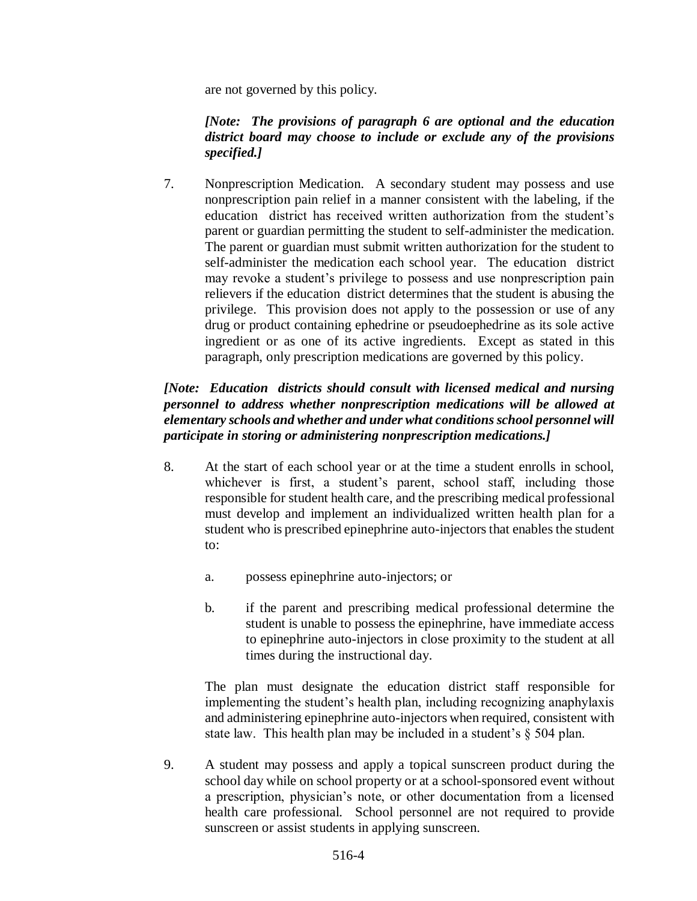are not governed by this policy.

## *[Note: The provisions of paragraph 6 are optional and the education district board may choose to include or exclude any of the provisions specified.]*

7. Nonprescription Medication. A secondary student may possess and use nonprescription pain relief in a manner consistent with the labeling, if the education district has received written authorization from the student's parent or guardian permitting the student to self-administer the medication. The parent or guardian must submit written authorization for the student to self-administer the medication each school year. The education district may revoke a student's privilege to possess and use nonprescription pain relievers if the education district determines that the student is abusing the privilege. This provision does not apply to the possession or use of any drug or product containing ephedrine or pseudoephedrine as its sole active ingredient or as one of its active ingredients. Except as stated in this paragraph, only prescription medications are governed by this policy.

# *[Note: Education districts should consult with licensed medical and nursing personnel to address whether nonprescription medications will be allowed at elementary schools and whether and under what conditions school personnel will participate in storing or administering nonprescription medications.]*

- 8. At the start of each school year or at the time a student enrolls in school, whichever is first, a student's parent, school staff, including those responsible for student health care, and the prescribing medical professional must develop and implement an individualized written health plan for a student who is prescribed epinephrine auto-injectors that enables the student to:
	- a. possess epinephrine auto-injectors; or
	- b. if the parent and prescribing medical professional determine the student is unable to possess the epinephrine, have immediate access to epinephrine auto-injectors in close proximity to the student at all times during the instructional day.

The plan must designate the education district staff responsible for implementing the student's health plan, including recognizing anaphylaxis and administering epinephrine auto-injectors when required, consistent with state law. This health plan may be included in a student's § 504 plan.

9. A student may possess and apply a topical sunscreen product during the school day while on school property or at a school-sponsored event without a prescription, physician's note, or other documentation from a licensed health care professional. School personnel are not required to provide sunscreen or assist students in applying sunscreen.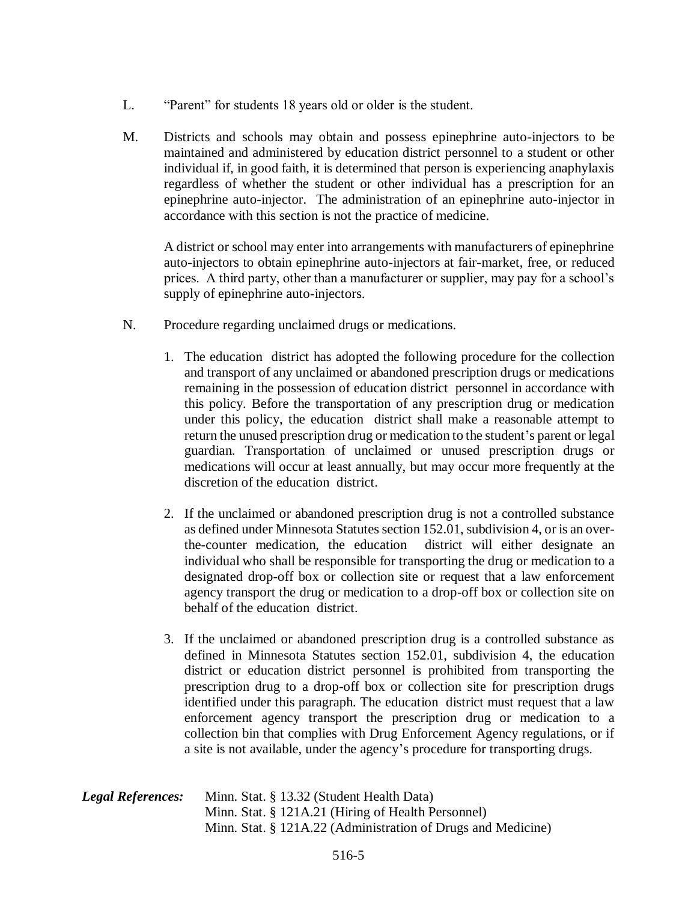- L. "Parent" for students 18 years old or older is the student.
- M. Districts and schools may obtain and possess epinephrine auto-injectors to be maintained and administered by education district personnel to a student or other individual if, in good faith, it is determined that person is experiencing anaphylaxis regardless of whether the student or other individual has a prescription for an epinephrine auto-injector. The administration of an epinephrine auto-injector in accordance with this section is not the practice of medicine.

A district or school may enter into arrangements with manufacturers of epinephrine auto-injectors to obtain epinephrine auto-injectors at fair-market, free, or reduced prices. A third party, other than a manufacturer or supplier, may pay for a school's supply of epinephrine auto-injectors.

- N. Procedure regarding unclaimed drugs or medications.
	- 1. The education district has adopted the following procedure for the collection and transport of any unclaimed or abandoned prescription drugs or medications remaining in the possession of education district personnel in accordance with this policy. Before the transportation of any prescription drug or medication under this policy, the education district shall make a reasonable attempt to return the unused prescription drug or medication to the student's parent or legal guardian. Transportation of unclaimed or unused prescription drugs or medications will occur at least annually, but may occur more frequently at the discretion of the education district.
	- 2. If the unclaimed or abandoned prescription drug is not a controlled substance as defined under Minnesota Statutes section 152.01, subdivision 4, or is an overthe-counter medication, the education district will either designate an individual who shall be responsible for transporting the drug or medication to a designated drop-off box or collection site or request that a law enforcement agency transport the drug or medication to a drop-off box or collection site on behalf of the education district.
	- 3. If the unclaimed or abandoned prescription drug is a controlled substance as defined in Minnesota Statutes section 152.01, subdivision 4, the education district or education district personnel is prohibited from transporting the prescription drug to a drop-off box or collection site for prescription drugs identified under this paragraph. The education district must request that a law enforcement agency transport the prescription drug or medication to a collection bin that complies with Drug Enforcement Agency regulations, or if a site is not available, under the agency's procedure for transporting drugs.

| <b>Legal References:</b> | Minn. Stat. § 13.32 (Student Health Data)                    |
|--------------------------|--------------------------------------------------------------|
|                          | Minn. Stat. § 121A.21 (Hiring of Health Personnel)           |
|                          | Minn. Stat. § 121A.22 (Administration of Drugs and Medicine) |